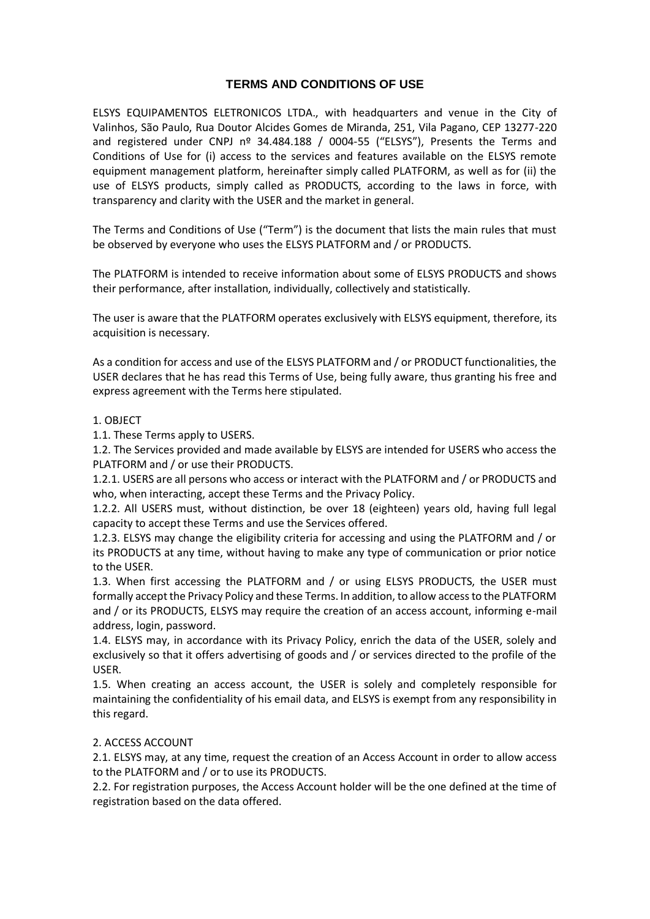# **TERMS AND CONDITIONS OF USE**

ELSYS EQUIPAMENTOS ELETRONICOS LTDA., with headquarters and venue in the City of Valinhos, São Paulo, Rua Doutor Alcides Gomes de Miranda, 251, Vila Pagano, CEP 13277-220 and registered under CNPJ  $n^{\circ}$  34.484.188 / 0004-55 ("ELSYS"), Presents the Terms and Conditions of Use for (i) access to the services and features available on the ELSYS remote equipment management platform, hereinafter simply called PLATFORM, as well as for (ii) the use of ELSYS products, simply called as PRODUCTS, according to the laws in force, with transparency and clarity with the USER and the market in general.

The Terms and Conditions of Use ("Term") is the document that lists the main rules that must be observed by everyone who uses the ELSYS PLATFORM and / or PRODUCTS.

The PLATFORM is intended to receive information about some of ELSYS PRODUCTS and shows their performance, after installation, individually, collectively and statistically.

The user is aware that the PLATFORM operates exclusively with ELSYS equipment, therefore, its acquisition is necessary.

As a condition for access and use of the ELSYS PLATFORM and / or PRODUCT functionalities, the USER declares that he has read this Terms of Use, being fully aware, thus granting his free and express agreement with the Terms here stipulated.

#### 1. OBJECT

1.1. These Terms apply to USERS.

1.2. The Services provided and made available by ELSYS are intended for USERS who access the PLATFORM and / or use their PRODUCTS.

1.2.1. USERS are all persons who access or interact with the PLATFORM and / or PRODUCTS and who, when interacting, accept these Terms and the Privacy Policy.

1.2.2. All USERS must, without distinction, be over 18 (eighteen) years old, having full legal capacity to accept these Terms and use the Services offered.

1.2.3. ELSYS may change the eligibility criteria for accessing and using the PLATFORM and / or its PRODUCTS at any time, without having to make any type of communication or prior notice to the USER.

1.3. When first accessing the PLATFORM and / or using ELSYS PRODUCTS, the USER must formally accept the Privacy Policy and these Terms. In addition, to allow access to the PLATFORM and / or its PRODUCTS, ELSYS may require the creation of an access account, informing e-mail address, login, password.

1.4. ELSYS may, in accordance with its Privacy Policy, enrich the data of the USER, solely and exclusively so that it offers advertising of goods and / or services directed to the profile of the USER.

1.5. When creating an access account, the USER is solely and completely responsible for maintaining the confidentiality of his email data, and ELSYS is exempt from any responsibility in this regard.

# 2. ACCESS ACCOUNT

2.1. ELSYS may, at any time, request the creation of an Access Account in order to allow access to the PLATFORM and / or to use its PRODUCTS.

2.2. For registration purposes, the Access Account holder will be the one defined at the time of registration based on the data offered.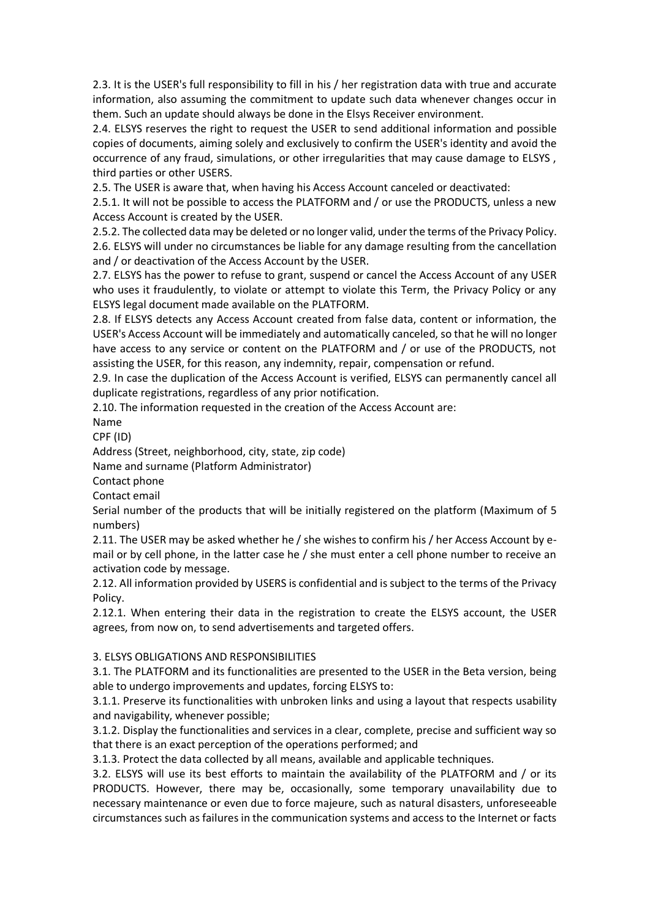2.3. It is the USER's full responsibility to fill in his / her registration data with true and accurate information, also assuming the commitment to update such data whenever changes occur in them. Such an update should always be done in the Elsys Receiver environment.

2.4. ELSYS reserves the right to request the USER to send additional information and possible copies of documents, aiming solely and exclusively to confirm the USER's identity and avoid the occurrence of any fraud, simulations, or other irregularities that may cause damage to ELSYS , third parties or other USERS.

2.5. The USER is aware that, when having his Access Account canceled or deactivated:

2.5.1. It will not be possible to access the PLATFORM and / or use the PRODUCTS, unless a new Access Account is created by the USER.

2.5.2. The collected data may be deleted or no longer valid, under the terms of the Privacy Policy. 2.6. ELSYS will under no circumstances be liable for any damage resulting from the cancellation and / or deactivation of the Access Account by the USER.

2.7. ELSYS has the power to refuse to grant, suspend or cancel the Access Account of any USER who uses it fraudulently, to violate or attempt to violate this Term, the Privacy Policy or any ELSYS legal document made available on the PLATFORM.

2.8. If ELSYS detects any Access Account created from false data, content or information, the USER's Access Account will be immediately and automatically canceled, so that he will no longer have access to any service or content on the PLATFORM and / or use of the PRODUCTS, not assisting the USER, for this reason, any indemnity, repair, compensation or refund.

2.9. In case the duplication of the Access Account is verified, ELSYS can permanently cancel all duplicate registrations, regardless of any prior notification.

2.10. The information requested in the creation of the Access Account are:

Name

CPF (ID)

Address (Street, neighborhood, city, state, zip code)

Name and surname (Platform Administrator)

Contact phone

Contact email

Serial number of the products that will be initially registered on the platform (Maximum of 5 numbers)

2.11. The USER may be asked whether he / she wishes to confirm his / her Access Account by email or by cell phone, in the latter case he / she must enter a cell phone number to receive an activation code by message.

2.12. All information provided by USERS is confidential and is subject to the terms of the Privacy Policy.

2.12.1. When entering their data in the registration to create the ELSYS account, the USER agrees, from now on, to send advertisements and targeted offers.

# 3. ELSYS OBLIGATIONS AND RESPONSIBILITIES

3.1. The PLATFORM and its functionalities are presented to the USER in the Beta version, being able to undergo improvements and updates, forcing ELSYS to:

3.1.1. Preserve its functionalities with unbroken links and using a layout that respects usability and navigability, whenever possible;

3.1.2. Display the functionalities and services in a clear, complete, precise and sufficient way so that there is an exact perception of the operations performed; and

3.1.3. Protect the data collected by all means, available and applicable techniques.

3.2. ELSYS will use its best efforts to maintain the availability of the PLATFORM and / or its PRODUCTS. However, there may be, occasionally, some temporary unavailability due to necessary maintenance or even due to force majeure, such as natural disasters, unforeseeable circumstances such as failures in the communication systems and access to the Internet or facts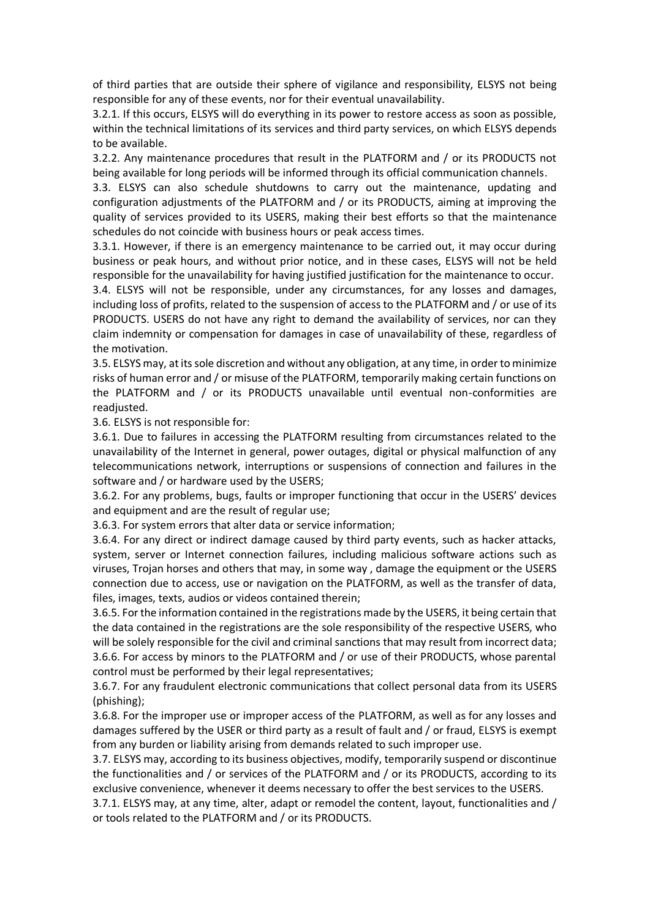of third parties that are outside their sphere of vigilance and responsibility, ELSYS not being responsible for any of these events, nor for their eventual unavailability.

3.2.1. If this occurs, ELSYS will do everything in its power to restore access as soon as possible, within the technical limitations of its services and third party services, on which ELSYS depends to be available.

3.2.2. Any maintenance procedures that result in the PLATFORM and / or its PRODUCTS not being available for long periods will be informed through its official communication channels.

3.3. ELSYS can also schedule shutdowns to carry out the maintenance, updating and configuration adjustments of the PLATFORM and / or its PRODUCTS, aiming at improving the quality of services provided to its USERS, making their best efforts so that the maintenance schedules do not coincide with business hours or peak access times.

3.3.1. However, if there is an emergency maintenance to be carried out, it may occur during business or peak hours, and without prior notice, and in these cases, ELSYS will not be held responsible for the unavailability for having justified justification for the maintenance to occur.

3.4. ELSYS will not be responsible, under any circumstances, for any losses and damages, including loss of profits, related to the suspension of access to the PLATFORM and / or use of its PRODUCTS. USERS do not have any right to demand the availability of services, nor can they claim indemnity or compensation for damages in case of unavailability of these, regardless of the motivation.

3.5. ELSYS may, at its sole discretion and without any obligation, at any time, in order to minimize risks of human error and / or misuse of the PLATFORM, temporarily making certain functions on the PLATFORM and / or its PRODUCTS unavailable until eventual non-conformities are readjusted.

3.6. ELSYS is not responsible for:

3.6.1. Due to failures in accessing the PLATFORM resulting from circumstances related to the unavailability of the Internet in general, power outages, digital or physical malfunction of any telecommunications network, interruptions or suspensions of connection and failures in the software and / or hardware used by the USERS;

3.6.2. For any problems, bugs, faults or improper functioning that occur in the USERS' devices and equipment and are the result of regular use;

3.6.3. For system errors that alter data or service information;

3.6.4. For any direct or indirect damage caused by third party events, such as hacker attacks, system, server or Internet connection failures, including malicious software actions such as viruses, Trojan horses and others that may, in some way , damage the equipment or the USERS connection due to access, use or navigation on the PLATFORM, as well as the transfer of data, files, images, texts, audios or videos contained therein;

3.6.5. For the information contained in the registrations made by the USERS, it being certain that the data contained in the registrations are the sole responsibility of the respective USERS, who will be solely responsible for the civil and criminal sanctions that may result from incorrect data; 3.6.6. For access by minors to the PLATFORM and / or use of their PRODUCTS, whose parental control must be performed by their legal representatives;

3.6.7. For any fraudulent electronic communications that collect personal data from its USERS (phishing);

3.6.8. For the improper use or improper access of the PLATFORM, as well as for any losses and damages suffered by the USER or third party as a result of fault and / or fraud, ELSYS is exempt from any burden or liability arising from demands related to such improper use.

3.7. ELSYS may, according to its business objectives, modify, temporarily suspend or discontinue the functionalities and / or services of the PLATFORM and / or its PRODUCTS, according to its exclusive convenience, whenever it deems necessary to offer the best services to the USERS.

3.7.1. ELSYS may, at any time, alter, adapt or remodel the content, layout, functionalities and / or tools related to the PLATFORM and / or its PRODUCTS.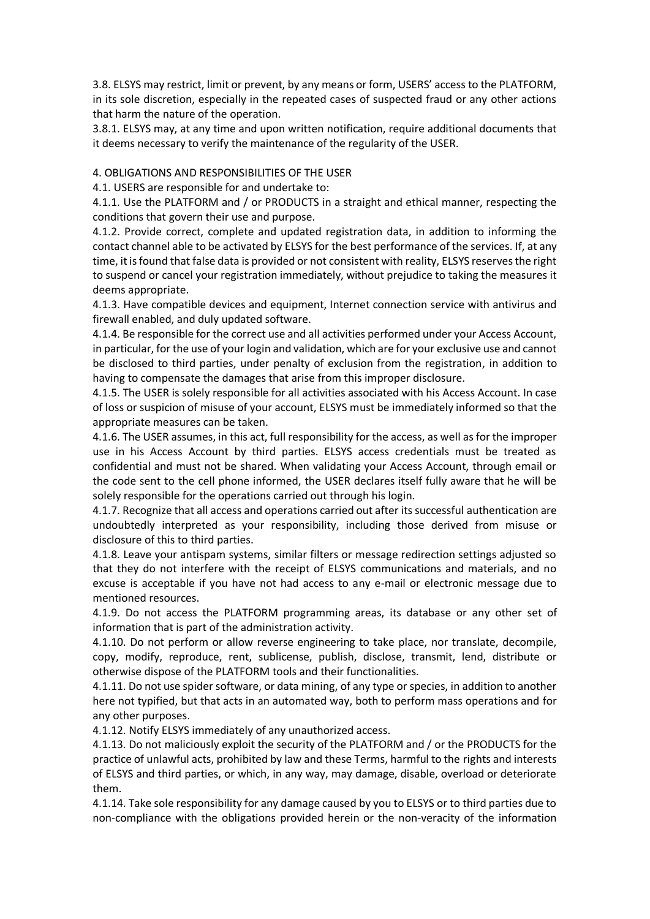3.8. ELSYS may restrict, limit or prevent, by any means or form, USERS' access to the PLATFORM, in its sole discretion, especially in the repeated cases of suspected fraud or any other actions that harm the nature of the operation.

3.8.1. ELSYS may, at any time and upon written notification, require additional documents that it deems necessary to verify the maintenance of the regularity of the USER.

4. OBLIGATIONS AND RESPONSIBILITIES OF THE USER

4.1. USERS are responsible for and undertake to:

4.1.1. Use the PLATFORM and / or PRODUCTS in a straight and ethical manner, respecting the conditions that govern their use and purpose.

4.1.2. Provide correct, complete and updated registration data, in addition to informing the contact channel able to be activated by ELSYS for the best performance of the services. If, at any time, it is found that false data is provided or not consistent with reality, ELSYS reserves the right to suspend or cancel your registration immediately, without prejudice to taking the measures it deems appropriate.

4.1.3. Have compatible devices and equipment, Internet connection service with antivirus and firewall enabled, and duly updated software.

4.1.4. Be responsible for the correct use and all activities performed under your Access Account, in particular, for the use of your login and validation, which are for your exclusive use and cannot be disclosed to third parties, under penalty of exclusion from the registration, in addition to having to compensate the damages that arise from this improper disclosure.

4.1.5. The USER is solely responsible for all activities associated with his Access Account. In case of loss or suspicion of misuse of your account, ELSYS must be immediately informed so that the appropriate measures can be taken.

4.1.6. The USER assumes, in this act, full responsibility for the access, as well as for the improper use in his Access Account by third parties. ELSYS access credentials must be treated as confidential and must not be shared. When validating your Access Account, through email or the code sent to the cell phone informed, the USER declares itself fully aware that he will be solely responsible for the operations carried out through his login.

4.1.7. Recognize that all access and operations carried out after its successful authentication are undoubtedly interpreted as your responsibility, including those derived from misuse or disclosure of this to third parties.

4.1.8. Leave your antispam systems, similar filters or message redirection settings adjusted so that they do not interfere with the receipt of ELSYS communications and materials, and no excuse is acceptable if you have not had access to any e-mail or electronic message due to mentioned resources.

4.1.9. Do not access the PLATFORM programming areas, its database or any other set of information that is part of the administration activity.

4.1.10. Do not perform or allow reverse engineering to take place, nor translate, decompile, copy, modify, reproduce, rent, sublicense, publish, disclose, transmit, lend, distribute or otherwise dispose of the PLATFORM tools and their functionalities.

4.1.11. Do not use spider software, or data mining, of any type or species, in addition to another here not typified, but that acts in an automated way, both to perform mass operations and for any other purposes.

4.1.12. Notify ELSYS immediately of any unauthorized access.

4.1.13. Do not maliciously exploit the security of the PLATFORM and / or the PRODUCTS for the practice of unlawful acts, prohibited by law and these Terms, harmful to the rights and interests of ELSYS and third parties, or which, in any way, may damage, disable, overload or deteriorate them.

4.1.14. Take sole responsibility for any damage caused by you to ELSYS or to third parties due to non-compliance with the obligations provided herein or the non-veracity of the information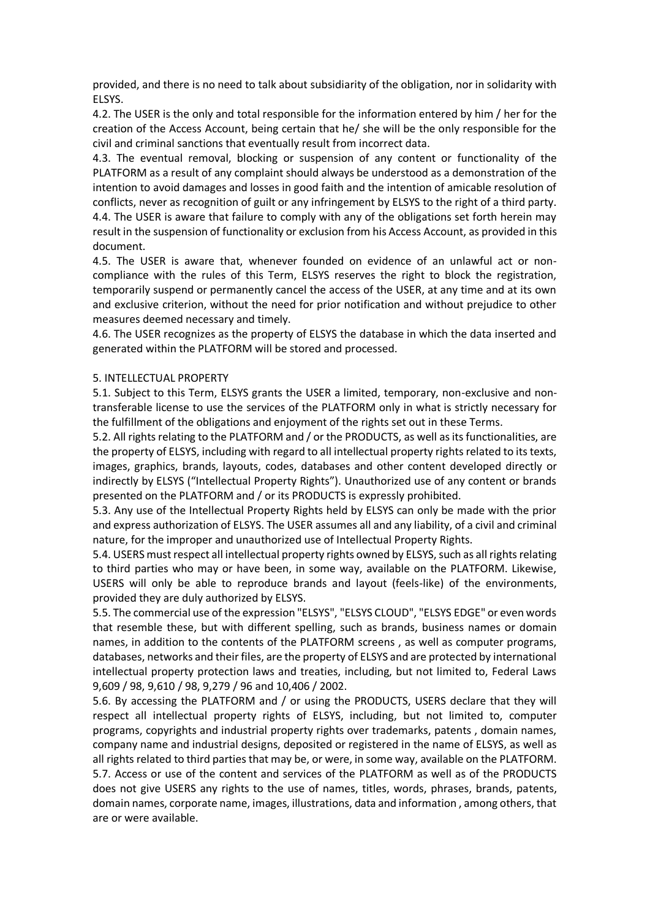provided, and there is no need to talk about subsidiarity of the obligation, nor in solidarity with ELSYS.

4.2. The USER is the only and total responsible for the information entered by him / her for the creation of the Access Account, being certain that he/ she will be the only responsible for the civil and criminal sanctions that eventually result from incorrect data.

4.3. The eventual removal, blocking or suspension of any content or functionality of the PLATFORM as a result of any complaint should always be understood as a demonstration of the intention to avoid damages and losses in good faith and the intention of amicable resolution of conflicts, never as recognition of guilt or any infringement by ELSYS to the right of a third party. 4.4. The USER is aware that failure to comply with any of the obligations set forth herein may result in the suspension of functionality or exclusion from his Access Account, as provided in this document.

4.5. The USER is aware that, whenever founded on evidence of an unlawful act or noncompliance with the rules of this Term, ELSYS reserves the right to block the registration, temporarily suspend or permanently cancel the access of the USER, at any time and at its own and exclusive criterion, without the need for prior notification and without prejudice to other measures deemed necessary and timely.

4.6. The USER recognizes as the property of ELSYS the database in which the data inserted and generated within the PLATFORM will be stored and processed.

#### 5. INTELLECTUAL PROPERTY

5.1. Subject to this Term, ELSYS grants the USER a limited, temporary, non-exclusive and nontransferable license to use the services of the PLATFORM only in what is strictly necessary for the fulfillment of the obligations and enjoyment of the rights set out in these Terms.

5.2. All rights relating to the PLATFORM and / or the PRODUCTS, as well as its functionalities, are the property of ELSYS, including with regard to all intellectual property rights related to its texts, images, graphics, brands, layouts, codes, databases and other content developed directly or indirectly by ELSYS ("Intellectual Property Rights"). Unauthorized use of any content or brands presented on the PLATFORM and / or its PRODUCTS is expressly prohibited.

5.3. Any use of the Intellectual Property Rights held by ELSYS can only be made with the prior and express authorization of ELSYS. The USER assumes all and any liability, of a civil and criminal nature, for the improper and unauthorized use of Intellectual Property Rights.

5.4. USERS must respect all intellectual property rights owned by ELSYS, such as all rights relating to third parties who may or have been, in some way, available on the PLATFORM. Likewise, USERS will only be able to reproduce brands and layout (feels-like) of the environments, provided they are duly authorized by ELSYS.

5.5. The commercial use of the expression "ELSYS", "ELSYS CLOUD", "ELSYS EDGE" or even words that resemble these, but with different spelling, such as brands, business names or domain names, in addition to the contents of the PLATFORM screens , as well as computer programs, databases, networks and their files, are the property of ELSYS and are protected by international intellectual property protection laws and treaties, including, but not limited to, Federal Laws 9,609 / 98, 9,610 / 98, 9,279 / 96 and 10,406 / 2002.

5.6. By accessing the PLATFORM and / or using the PRODUCTS, USERS declare that they will respect all intellectual property rights of ELSYS, including, but not limited to, computer programs, copyrights and industrial property rights over trademarks, patents , domain names, company name and industrial designs, deposited or registered in the name of ELSYS, as well as all rights related to third parties that may be, or were, in some way, available on the PLATFORM. 5.7. Access or use of the content and services of the PLATFORM as well as of the PRODUCTS does not give USERS any rights to the use of names, titles, words, phrases, brands, patents, domain names, corporate name, images, illustrations, data and information , among others, that are or were available.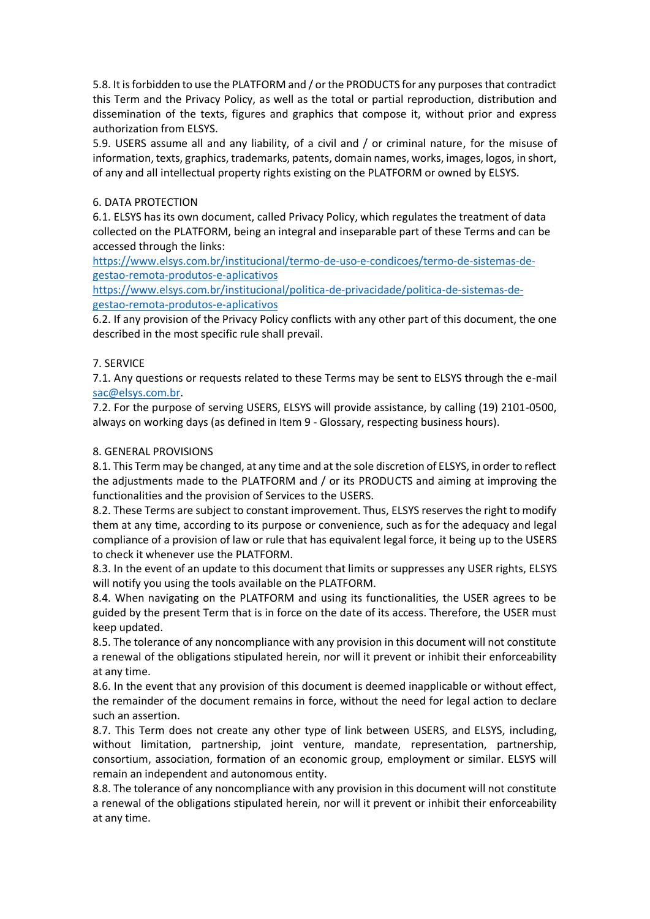5.8. It is forbidden to use the PLATFORM and / or the PRODUCTS for any purposes that contradict this Term and the Privacy Policy, as well as the total or partial reproduction, distribution and dissemination of the texts, figures and graphics that compose it, without prior and express authorization from ELSYS.

5.9. USERS assume all and any liability, of a civil and / or criminal nature, for the misuse of information, texts, graphics, trademarks, patents, domain names, works, images, logos, in short, of any and all intellectual property rights existing on the PLATFORM or owned by ELSYS.

## 6. DATA PROTECTION

6.1. ELSYS has its own document, called Privacy Policy, which regulates the treatment of data collected on the PLATFORM, being an integral and inseparable part of these Terms and can be accessed through the links:

[https://www.elsys.com.br/institucional/termo-de-uso-e-condicoes/termo-de-sistemas-de](https://www.elsys.com.br/institucional/termo-de-uso-e-condicoes/termo-de-sistemas-de-gestao-remota-produtos-e-aplicativos)[gestao-remota-produtos-e-aplicativos](https://www.elsys.com.br/institucional/termo-de-uso-e-condicoes/termo-de-sistemas-de-gestao-remota-produtos-e-aplicativos)

[https://www.elsys.com.br/institucional/politica-de-privacidade/politica-de-sistemas-de](https://www.elsys.com.br/institucional/politica-de-privacidade/politica-de-sistemas-de-gestao-remota-produtos-e-aplicativos)[gestao-remota-produtos-e-aplicativos](https://www.elsys.com.br/institucional/politica-de-privacidade/politica-de-sistemas-de-gestao-remota-produtos-e-aplicativos)

6.2. If any provision of the Privacy Policy conflicts with any other part of this document, the one described in the most specific rule shall prevail.

### 7. SERVICE

7.1. Any questions or requests related to these Terms may be sent to ELSYS through the e-mail [sac@elsys.com.br.](mailto:sac@elsys.com.br)

7.2. For the purpose of serving USERS, ELSYS will provide assistance, by calling (19) 2101-0500, always on working days (as defined in Item 9 - Glossary, respecting business hours).

### 8. GENERAL PROVISIONS

8.1. This Term may be changed, at any time and at the sole discretion of ELSYS, in order to reflect the adjustments made to the PLATFORM and / or its PRODUCTS and aiming at improving the functionalities and the provision of Services to the USERS.

8.2. These Terms are subject to constant improvement. Thus, ELSYS reserves the right to modify them at any time, according to its purpose or convenience, such as for the adequacy and legal compliance of a provision of law or rule that has equivalent legal force, it being up to the USERS to check it whenever use the PLATFORM.

8.3. In the event of an update to this document that limits or suppresses any USER rights, ELSYS will notify you using the tools available on the PLATFORM.

8.4. When navigating on the PLATFORM and using its functionalities, the USER agrees to be guided by the present Term that is in force on the date of its access. Therefore, the USER must keep updated.

8.5. The tolerance of any noncompliance with any provision in this document will not constitute a renewal of the obligations stipulated herein, nor will it prevent or inhibit their enforceability at any time.

8.6. In the event that any provision of this document is deemed inapplicable or without effect, the remainder of the document remains in force, without the need for legal action to declare such an assertion.

8.7. This Term does not create any other type of link between USERS, and ELSYS, including, without limitation, partnership, joint venture, mandate, representation, partnership, consortium, association, formation of an economic group, employment or similar. ELSYS will remain an independent and autonomous entity.

8.8. The tolerance of any noncompliance with any provision in this document will not constitute a renewal of the obligations stipulated herein, nor will it prevent or inhibit their enforceability at any time.